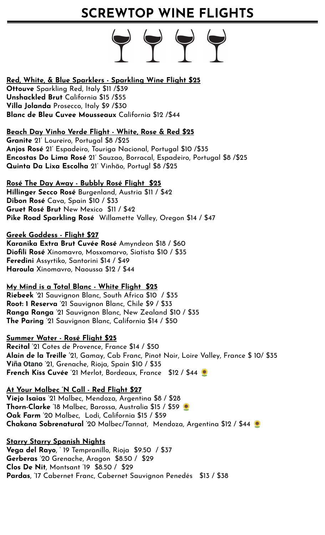## **SCREWTOP WINE FLIGHTS**

## **Red, White, & Blue Sparklers - Sparkling Wine Flight \$25**

**Ottouve** Sparkling Red, Italy \$11 /\$39 **Unshackled Brut** California \$15 /\$55 **Villa Jolanda** Prosecco, Italy \$9 /\$30 **Blanc de Bleu Cuvee Mousseaux** California \$12 /\$44

## **Beach Day Vinho Verde Flight - White, Rose & Red \$25**

**Granite** 21' Loureiro, Portugal \$8 /\$25 **Anjos Rosé** 21' Espadeiro, Touriga Nacional, Portugal \$10 /\$35 **Encostas Do Lima Rosé** 21' Sauzao, Borracal, Espadeiro, Portugal \$8 /\$25 **Quinta Da Lixa Escolha** 21' Vinhão, Portugl \$8 /\$25

## **Rosé The Day Away - Bubbly Rosé Flight \$25**

**Hillinger Secco Rosé** Burgenland, Austria \$11 / \$42 **Dibon Rosé** Cava, Spain \$10 / \$33 **Gruet Rosé Brut** New Mexico \$11 / \$42 **Pike Road Sparkling Rosé** Willamette Valley, Oregon \$14 / \$47

## **Greek Goddess - Flight \$27**

**Karanika Extra Brut Cuvée Rosé** Amyndeon \$18 / \$60 **Diofili Rosé** Xinomavro, Mosxomarvo, Siatista \$10 / \$35 **Feredini** Assyrtiko, Santorini \$14 / \$49 **Haroula** Xinomavro, Naoussa \$12 / \$44

### **My Mind is a Total Blanc - White Flight \$25**

**Riebeek** '21 Sauvignon Blanc, South Africa \$10 / \$35 **Root: 1 Reserva** '21 Sauvignon Blanc, Chile \$9 / \$33 **Ranga Ranga** '21 Sauvignon Blanc, New Zealand \$10 / \$35 **The Paring** '21 Sauvignon Blanc, California \$14 / \$50

### **Summer Water - Rosé Flight \$25**

**Recital** '21 Cotes de Provence, France \$14 / \$50 **Alain de la Treille '**21, Gamay, Cab Franc, Pinot Noir, Loire Valley, France \$ 10/ \$35 **Viña Otano** '21, Grenache, Rioja, Spain \$10 / \$35 **French Kiss Cuvée** '21 Merlot, Bordeaux, France \$12 / \$44

## **At Your Malbec 'N Call - Red Flight \$27**

**Viejo Isaias** '21 Malbec, Mendoza, Argentina \$8 / \$28 **Thorn-Clarke** '18 Malbec, Barossa, Australia \$15 / \$59 **Oak Farm** '20 Malbec, Lodi, California \$15 / \$59 **Chakana Sobrenatural** '20 Malbec/Tannat, Mendoza, Argentina \$12 / \$44

**Starry Starry Spanish Nights Vega del Rayo**, ' 19 Tempranillo, Rioja \$9.50 / \$37 **Gerberas** '20 Grenache, Aragon \$8.50 / \$29 **Clos De Nit**, Montsant '19 \$8.50 / \$29 **Pardas**, '17 Cabernet Franc, Cabernet Sauvignon Penedés \$13 / \$38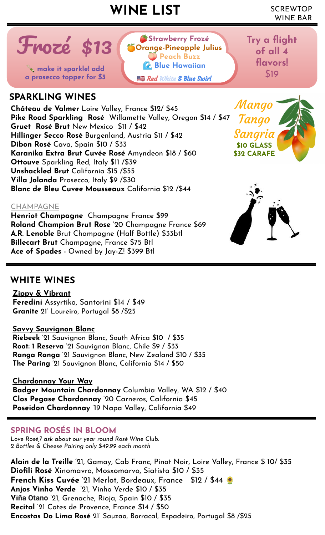## SCREWTOP **WINE LIST** WINE BAR

**Strawberry Frozé Orange-Pineapple Julius Peach Buzz Blue Hawaiian**

Red White & Blue Swirl

**Try a flight of all 4** 

**flavors!** 



**a** prosecco topper for \$3 **a** *a community sparkle!* add a prosecco topper for \$3

## **SPARKLING WINES**

**Château de Valmer** Loire Valley, France \$12/ \$45 **Pike Road Sparkling Rosé** Willamette Valley, Oregon \$14 / \$47 **Gruet Rosé Brut** New Mexico \$11 / \$42 **Hillinger Secco Rosé** Burgenland, Austria \$11 / \$42 **Dibon Rosé** Cava, Spain \$10 / \$33 **Karanika Extra Brut Cuvée Rosé** Amyndeon \$18 / \$60 **Ottouve** Sparkling Red, Italy \$11 /\$39 **Unshackled Brut** California \$15 /\$55 **Villa Jolanda** Prosecco, Italy \$9 /\$30 **Blanc de Bleu Cuvee Mousseaux** California \$12 /\$44

## CHAMPAGNE

**Henriot Champagne** Champagne France \$99 **Roland Champion Brut Rose** '20 Champagne France \$69 **A.R. Lenoble** Brut Champagne (Half Bottle) \$33btl **Billecart Brut** Champagne, France \$75 Btl **Ace of Spades** - Owned by Jay-Z! \$399 Btl

Mango

Tango

Sangria **\$10 GLASS \$32 CARAFE**

## **WHITE WINES**

**Zippy & Vibrant Feredini** Assyrtiko, Santorini \$14 / \$49 **Granite** 21' Loureiro, Portugal \$8 /\$25

### **Savvy Sauvignon Blanc**

**Riebeek** '21 Sauvignon Blanc, South Africa \$10 / \$35 **Root: 1 Reserva** '21 Sauvignon Blanc, Chile \$9 / \$33 **Ranga Ranga** '21 Sauvignon Blanc, New Zealand \$10 / \$35 **The Paring** '21 Sauvignon Blanc, California \$14 / \$50

**Chardonnay Your Way Badger Mountain Chardonnay** Columbia Valley, WA \$12 / \$40 **Clos Pegase Chardonnay** '20 Carneros, California \$45 **Poseidon Chardonnay** '19 Napa Valley, California \$49

## **SPRING ROSÉS IN BLOOM**

*Love Rosé,? ask about our year round Rosé Wine Club. 2 Bottles & Cheese Pairing only \$49.99 each month* 

**Alain de la Treille '**21, Gamay, Cab Franc, Pinot Noir, Loire Valley, France \$ 10/ \$35 **Diofili Rosé** Xinomavro, Mosxomarvo, Siatista \$10 / \$35 **French Kiss Cuvée** '21 Merlot, Bordeaux, France \$12 / \$44 **Anjos Vinho Verde** '21, Vinho Verde \$10 / \$35 **Viña Otano** '21, Grenache, Rioja, Spain \$10 / \$35 **Recital** '21 Cotes de Provence, France \$14 / \$50 **Encostas Do Lima Rosé** 21' Sauzao, Borracal, Espadeiro, Portugal \$8 /\$25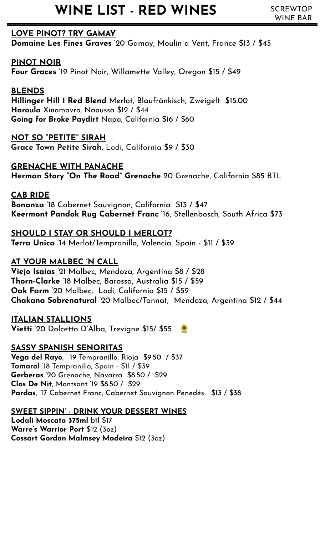## **WINE LIST - RED WINES** SCREWTOP

## **LOVE PINOT? TRY GAMAY**

**Domaine Les Fines Graves** '20 Gamay, Moulin a Vent, France \$13 / \$45

## **PINOT NOIR**

**Four Graces** '19 Pinot Noir, Willamette Valley, Oregon \$15 / \$49

## **BLENDS**

**Hillinger Hill 1 Red Blend** Merlot, Blaufränkisch, Zweigelt \$15.00 **Haroula** Xinomavro, Naoussa \$12 / \$44 **Going for Broke Paydirt** Napa, California \$16 / \$60

## **NOT SO "PETITE" SIRAH**

**Grace Town Petite Sirah**, Lodi, California \$9 / \$30

## **GRENACHE WITH PANACHE**

**Herman Story "On The Road" Grenache** 20 Grenache, California \$85 BTL

## **CAB RIDE**

**Bonanza** '18 Cabernet Sauvignon, California \$13 / \$47 **Keermont Pandok Rug Cabernet Franc '**16, Stellenbosch, South Africa \$73

## **SHOULD I STAY OR SHOULD I MERLOT?**

**Terra Unica** '14 Merlot/Tempranillo, Valencia, Spain - \$11 / \$39

## **AT YOUR MALBEC 'N CALL**

**Viejo Isaias** '21 Malbec, Mendoza, Argentina \$8 / \$28 **Thorn-Clarke** '18 Malbec, Barossa, Australia \$15 / \$59 **Oak Farm** '20 Malbec, Lodi, California \$15 / \$59 **Chakana Sobrenatural** '20 Malbec/Tannat, Mendoza, Argentina \$12 / \$44

## **ITALIAN STALLIONS**

**Vietti** '20 Dolcetto D'Alba, Trevigne \$15/ \$55

## **SASSY SPANISH SENORITAS**

**Vega del Rayo**, ' 19 Tempranillo, Rioja \$9.50 / \$37 **Tamaral** '18 Tempranillo, Spain - \$11 / \$39 **Gerberas** '20 Grenache, Navarra \$8.50 / \$29 **Clos De Nit**, Montsant '19 \$8.50 / \$29 **Pardas**, '17 Cabernet Franc, Cabernet Sauvignon Penedés \$13 / \$38

## **SWEET SIPPIN' - DRINK YOUR DESSERT WINES**

**Lodali Moscato 375ml** btl \$17 **Warre's Warrior Port** \$12 (3oz) **Cossart Gordon Malmsey Madeira** \$12 (3oz)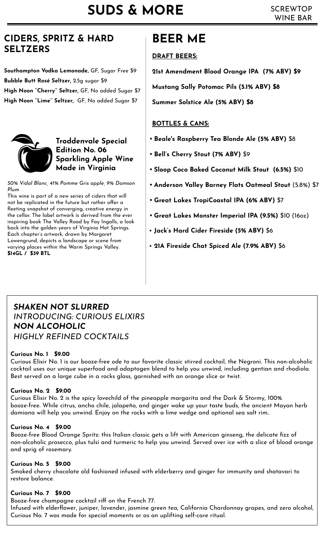## **CIDERS, SPRITZ & HARD SELTZERS**

**Southampton Vodka Lemonade,** GF, Sugar Free \$9 **Bubble Butt Rosé Seltzer,** 2.5g sugar \$9 **High Noon ''Cherry'' Seltzer,** GF, No added Sugar \$7 **High Noon ''Lime'' Seltzer,** GF, No added Sugar \$7



## **Troddenvale Special Edition No. 06 Sparkling Apple Wine Made in Virginia**

*50% Vidal Blanc, 41% Pomme Gris apple, 9% Damson Plum*

This wine is part of a new series of ciders that will not be replicated in the future but rather offer a fleeting snapshot of converging, creative energy in the cellar. The label artwork is derived from the ever inspiring book The Valley Road by Fay Ingalls, a look back into the golden years of Virginia Hot Springs. Each chapter's artwork, drawn by Margaret Lowengrund, depicts a landscape or scene from varying places within the Warm Springs Valley. **\$14GL / \$39 BTL**

## **BEER ME**

## **DRAFT BEERS:**

**21st Amendment Blood Orange IPA (7% ABV) \$9**

**Mustang Sally Potomac Pils (5.1% ABV) \$8**

**Summer Solstice Ale (5% ABV) \$8**

## **BOTTLES & CANS:**

- **• Beale's Raspberry Tea Blonde Ale (5% ABV)** \$8
- **• Bell's Cherry Stout (7% ABV)** \$9
- **• [Sloop Coco Baked Coconut Milk Stout](https://screwtopwinebar.revelup.com/menu/products/30585/detail/?expand_inventory=true) (6.5%)** \$10
- **• Anderson Valley Barney Flats Oatmeal Stout** (5.8%) \$7
- **• Great Lakes TropiCoastal IPA (6% ABV)** \$7
- **• Great Lakes Monster Imperial IPA (9.5%)** \$10 (16oz)
- **Jack's Hard Cider Fireside (5% ABV)** \$6
- • **21A Fireside Chat Spiced Ale (7.9% ABV)** \$6

## *SHAKEN NOT SLURRED INTRODUCING: CURIOUS ELIXIRS NON ALCOHOLIC HIGHLY REFINED COCKTAILS*

## **Curious No. 1 \$9.00**

Curious Elixir No. 1 is our booze-free ode to our favorite classic stirred cocktail, the Negroni. This non-alcoholic cocktail uses our unique superfood and adaptogen blend to help you unwind, including gentian and rhodiola. Best served on a large cube in a rocks glass, garnished with an orange slice or twist.

## **Curious No. 2 \$9.00**

Curious Elixir No. 2 is the spicy lovechild of the pineapple margarita and the Dark & Stormy, 100% booze-free. While citrus, ancho chile, jalapeño, and ginger wake up your taste buds, the ancient Mayan herb damiana will help you unwind. Enjoy on the rocks with a lime wedge and optional sea salt rim..

## **Curious No. 4 \$9.00**

Booze-free Blood Orange Spritz: this Italian classic gets a lift with American ginseng, the delicate fizz of non-alcoholic prosecco, plus tulsi and turmeric to help you unwind. Served over ice with a slice of blood orange and sprig of rosemary.

## **Curious No. 5 \$9.00**

Smoked cherry chocolate old fashioned infused with elderberry and ginger for immunity and shatavari to restore balance.

### **Curious No. 7 \$9.00**

Booze-free champagne cocktail riff on the French 77. Infused with elderflower, juniper, lavender, jasmine green tea, California Chardonnay grapes, and zero alcohol, Curious No. 7 was made for special moments or as an uplifting self-care ritual.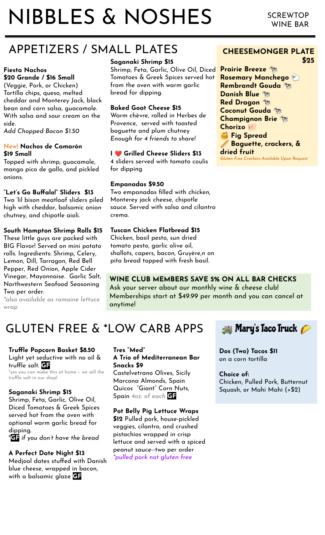# NIBBLES & NOSHES

## APPETIZERS / SMALL PLATES

#### **Fiesta Nachos \$20 Grande / \$16 Small**

(Veggie, Pork, or Chicken) Tortilla chips, queso, melted cheddar and Monterey Jack, black bean and corn salsa, guacamole. With salsa and sour cream on the side.

*Add Chopped Bacon \$1.50*

#### **New! Nachos de Camarón \$19 Small**

Topped with shrimp, guacamole, mango pico de gallo, and pickled onions.

#### **"Let's Go Buffalo!" Sliders \$13**

Two 'lil bison meatloaf sliders piled high with cheddar, balsamic onion chutney, and chipotle aioli.

#### **South Hampton Shrimp Rolls \$15**

These little guys are packed with BIG Flavor! Served on mini potato rolls. Ingredients: Shrimp, Celery, Lemon, Dill, Tarragon, Red Bell Pepper, Red Onion, Apple Cider Vinegar, Mayonnaise. Garlic Salt, Northwestern Seafood Seasoning Two per order.

*\*also available as romaine lettuce wrap*

## **Saganaki Shrimp \$15**

Shrimp, Feta, Garlic, Olive Oil, Diced Tomatoes & Greek Spices served hot from the oven with warm garlic bread for dipping.

#### **Baked Goat Cheese \$15**

Warm chèvre, rolled in Herbes de Provence, served with toasted baguette and plum chutney *Enough for 4 friends to share!*

### **I** ❤ **Grilled Cheese Sliders \$13**

4 sliders served with tomato coulis for dipping

#### **Empanadas \$9.50**

Two empanadas filled with chicken, Monterey jack cheese, chipotle sauce. Served with salsa and cilantro crema.

#### **Tuscan Chicken Flatbread \$15**

Chicken, basil pesto, sun dried tomato pesto, garlic olive oil, shallots, capers, bacon, Gruyère,n on pita bread topped with fresh basil.

## **WINE CLUB MEMBERS SAVE 5% ON ALL BAR CHECKS**

Ask your server about our monthly wine & cheese club! Memberships start at \$49.99 per month and you can cancel at anytime!

## GLUTEN FREE & \*LOW CARB APPS

#### **Truffle Popcorn Basket \$8.50** Light yet seductive with no oil & truffle salt. **GF**

\*yes you can make this at home – we sell the truffle salt in our shop!

#### **Saganaki Shrimp \$15**

Shrimp, Feta, Garlic, Olive Oil, Diced Tomatoes & Greek Spices served hot from the oven with optional warm garlic bread for dipping.

\***GF** *if you don't have the bread*

#### **A Perfect Date Night \$13**

Medjool dates stuffed with Danish blue cheese, wrapped in bacon, with a balsamic glaze **GF**

#### **Tres "Med" A Trio of Mediterranean Bar Snacks \$9**

Castelvetrano Olives, Sicily Marcona Almonds, Spain Quicos "Giant" Corn Nuts, Spain *4oz. of each* **GF**

**Pot Belly Pig Lettuce Wraps \$12** Pulled pork, house-pickled veggies, cilantro, and crushed pistachios wrapped in crisp lettuce and served with a spiced peanut sauce--two per order *\*pulled pork not gluten free*



**Dos (Two) Tacos \$11**  on a corn tortilla

**Choice of:** Chicken, Pulled Pork, Butternut Squash, or Mahi Mahi (+\$2)

#### **CHEESEMONGER PLATE \$25**

**Prairie Breeze Rosemary Manchego Rembrandt Gouda Danish Blue Red Dragon Coconut Gouda Champignon Brie Chorizo Fig Spread Baguette, crackers, & dried fruit** *Gluten Free Crackers Available Upon Request*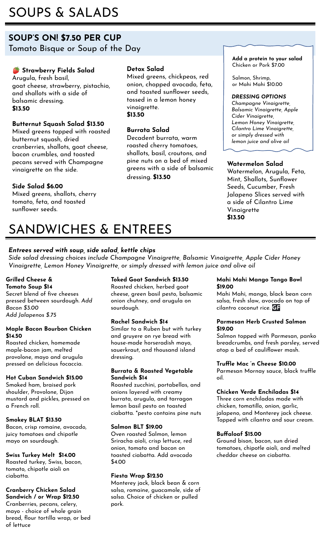## SOUPS & SALADS

## **SOUP'S ON! \$7.50 PER CUP** Tomato Bisque or Soup of the Day

## **Strawberry Fields Salad**

Arugula, fresh basil, goat cheese, strawberry, pistachio, and shallots with a side of balsamic dressing. **\$13.50**

## **Butternut Squash Salad \$13.50**

Mixed greens topped with roasted butternut squash, dried cranberries, shallots, goat cheese, bacon crumbles, and toasted pecans served with Champagne vinaigrette on the side.

## **Side Salad \$6.00**

Mixed greens, shallots, cherry tomato, feta, and toasted sunflower seeds.

#### **Detox Salad**

Mixed greens, chickpeas, red onion, chopped avocado, feta, and toasted sunflower seeds, tossed in a lemon honey vinaigrette. **\$13.50**

#### **Burrata Salad**

Decadent burrata, warm roasted cherry tomatoes, shallots, basil, croutons, and pine nuts on a bed of mixed greens with a side of balsamic dressing. **\$13.50**

#### **Add a protein to your salad**  Chicken or Pork \$7.00

Salmon, Shrimp, or Mahi Mahi \$10.00

#### *DRESSING OPTIONS*

*Champagne Vinaigrette, Balsamic Vinaigrette, Apple Cider Vinaigrette, Lemon Honey Vinaigrette, Cilantro Lime Vinaigrette, or simply dressed with lemon juice and olive oil*

#### **Watermelon Salad**

Watermelon, Arugula, Feta, Mint, Shallots, Sunflower Seeds, Cucumber, Fresh Jalapeno Slices served with a side of Cilantro Lime Vinaigrette **\$13.50**

## SANDWICHES & ENTREES

#### *Entrees served with soup, side salad, kettle chips*

*Side salad dressing choices include Champagne Vinaigrette, Balsamic Vinaigrette, Apple Cider Honey Vinaigrette, Lemon Honey Vinaigrette, or simply dressed with lemon juice and olive oil*

### **Grilled Cheese &**

**Tomato Soup \$14** Secret blend of five cheeses pressed between sourdough. *Add Bacon \$3.00 Add Jalapenos \$.75*

#### **Maple Bacon Bourbon Chicken \$14.50**

Roasted chicken, homemade maple-bacon jam, melted provolone, mayo and arugula pressed on delicious focaccia.

#### **Hot Cuban Sandwich \$15.00**

Smoked ham, braised pork shoulder, Provolone, Dijon mustard and pickles, pressed on a French roll.

#### **Smokey BLAT \$13.50**

Bacon, crisp romaine, avocado, juicy tomatoes and chipotle mayo on sourdough.

#### **Swiss Turkey Melt \$14.00**

Roasted turkey, Swiss, bacon, tomato, chipotle aioli on ciabatta.

#### **Cranberry Chicken Salad Sandwich / or Wrap \$12.50**

Cranberries, pecans, celery, mayo - choice of whole grain bread, flour tortilla wrap, or bed of lettuce

#### **Toked Goat Sandwich \$13.50**

Roasted chicken, herbed goat cheese, green basil pesto, balsamic onion chutney, and arugula on sourdough.

#### **Rachel Sandwich \$14**

Similar to a Ruben but with turkey and gruyere on rye bread with house-made horseradish mayo, sauerkraut, and thousand island dressing.

#### **Burrata & Roasted Vegetable Sandwich \$14**

Roasted zucchini, portabellas, and onions layered with creamy burrata, arugula, and tarragon lemon basil pesto on toasted ciabatta. \*pesto contains pine nuts

#### **Salmon BLT \$19.00**

Oven roasted Salmon, lemon Sriracha aioli, crisp lettuce, red onion, tomato and bacon on toasted ciabatta. Add avocado \$4.00

#### **Fiesta Wrap \$12.50**

Monterey jack, black bean & corn salsa, romaine, guacamole, side of salsa. Choice of chicken or pulled pork.

#### **Mahi Mahi Mango Tango Bowl \$19.00**

Mahi Mahi, mango, black bean corn salsa, fresh slaw, avocado on top of cilantro coconut rice. **GF**

#### **Parmesan Herb Crusted Salmon \$19.00**

Salmon topped with Parmesan, panko breadcrumbs, and fresh parsley, served atop a bed of cauliflower mash.

#### **Truffle Mac 'n Cheese \$10.00**

Parmesan Mornay sauce, black truffle oil.

#### **Chicken Verde Enchiladas \$14**

Three corn enchiladas made with chicken, tomatillo, onion, garlic, jalapeno, and Monterey jack cheese. Topped with cilantro and sour cream.

#### **Buffaloaf \$15.00**

Ground bison, bacon, sun dried tomatoes, chipotle aioli, and melted cheddar cheese on ciabatta.